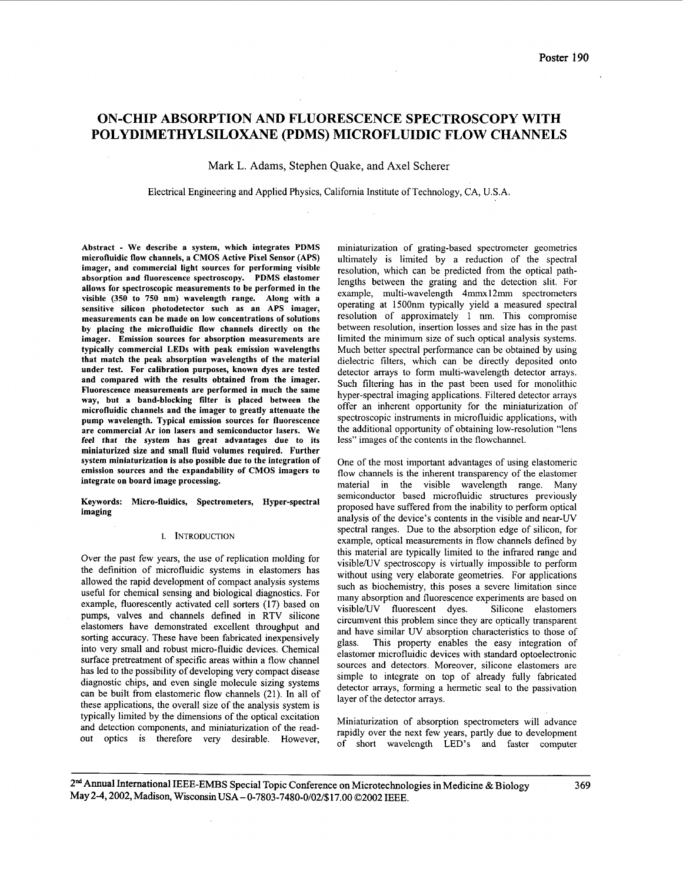# ON-CHIP ABSORPTION AND FLUORESCENCE SPECTROSCOPY WITH POLYDIMETHYLSILOXANE (PDMS) MICROFLUIDIC FLOW CHANNELS

Mark L. Adams, Stephen Quake, and Axel Scherer

Electrical Engineering and Applied Physics, Califomia Institute of Technology, CA, **U.S.A.** 

Abstract - We describe a system, which integrates PDMS microfluidic flow channels, a CMOS Active Pixel Sensor (APS) imager, and commercial light sources for performing visible absorption and fluorescence spectroscopy. PDMS elastomer allows for spectroscopic measurements to be performed in the visible **(350** to **750** nm) wavelength range. Along with a sensitive silicon photodetector such as an APS imager, measurements can be made on low concentrations of solutions by placing the microfluidic flow channels directly on the imager. Emission sources for absorption measurements are typically commercial LEDs with peak emission wavelengths that match the peak absorption wavelengths of the material under test. For calibration purposes, known dyes are tested and compared with the results obtained from the imager. Fluorescence measurements are performed in much the same way, but a band-blocking filter is placed between the microfluidic channels and the imager to greatly attenuate the pump wavelength. Typical emission sources for fluorescence are commercial Ar ion lasers and semiconductor lasers. We feel that the system has great advantages due to its miniaturized size and small fluid volumes required. Further system miniaturization is also possible due to the integration of emission sources and the expandability of CMOS imagers to integrate on board image processing.

Keywords: Micro-fluidics, Spectrometers, Hyper-spectral imaging

# **I.** INTRODUCTION

Over the past few years, the use of replication molding for the definition of microfluidic systems in elastomers has allowed the rapid development of compact analysis systems useful for chemical sensing and biological diagnostics. For example, fluorescently activated cell sorters (17) based on pumps, valves and channels defined in RTV silicone elastomers have demonstrated excellent throughput and sorting accuracy. These have been fabricated inexpensively into very small and robust micro-fluidic devices. Chemical surface pretreatment of specific areas within a flow channel has led to the possibility of developing very compact disease diagnostic chips, and even single molecule sizing systems can be built from elastomeric flow channels (21). In all of these applications, the overall size of the analysis system is typically limited by the dimensions of the optical excitation and detection components, and miniaturization of the readout optics is therefore very desirable. However,

 $\bar{z}$ 

miniaturization of grating-based spectrometer geometries ultimately is limited by a reduction of the spectral resolution, which can be predicted from the optical pathlengths between the grating and the detection slit. For example, multi-wavelength 4mmxl2mm spectrometers operating at 1500nm typically yield a measured spectral resolution of approximately 1 nm. This compromise between resolution, insertion losses and size has in the past limited the minimum size of such optical analysis systems. Much better spectral performance can be obtained by using dielectric filters, which can be directly deposited onto detector arrays to form multi-wavelength detector arrays. Such filtering has in the past been used for monolithic hyper-spectral imaging applications. Filtered detector arrays offer an inherent opportunity for the miniaturization of spectroscopic instruments in microfluidic applications, with the additional opportunity of obtaining low-resolution "lens less" images of the contents in the flowchannel.

One of the most important advantages of using elastomeric flow channels is the inherent transparency of the elastomer material in the visible wavelength range. Many semiconductor based microfluidic structures previously proposed have suffered from the inability to perform optical analysis of the device's contents in the visible and near-UV spectral ranges. Due to the absorption edge of silicon, for example, optical measurements in flow channels defined by this material are typically limited to the infrared range and visible/UV spectroscopy is virtually impossible to perform without using very elaborate geometries. For applications such as biochemistry, this poses a severe limitation since many absorption and fluorescence experiments are based on visible/UV fluorescent dyes. Silicone elastomers circumvent this problem since they are optically transparent and have similar UV absorption characteristics to those of glass. This property enables the easy integration of This property enables the easy integration of elastomer microfluidic devices with standard optoelectronic sources and detectors. Moreover, silicone elastomers are simple to integrate on top of already filly fabricated detector arrays, forming a hermetic seal to the passivation layer of the detector arrays.

Miniaturization of absorption spectrometers will advance rapidly over the next few years, partly due to development of short wavelength LED's and faster computer

2<sup>nd</sup> Annual International IEEE-EMBS Special Topic Conference on Microtechnologies in Medicine & Biology May 2-4, 2002, Madison, Wisconsin USA - 0-7803-7480-0/02/\$17.00 ©2002 IEEE.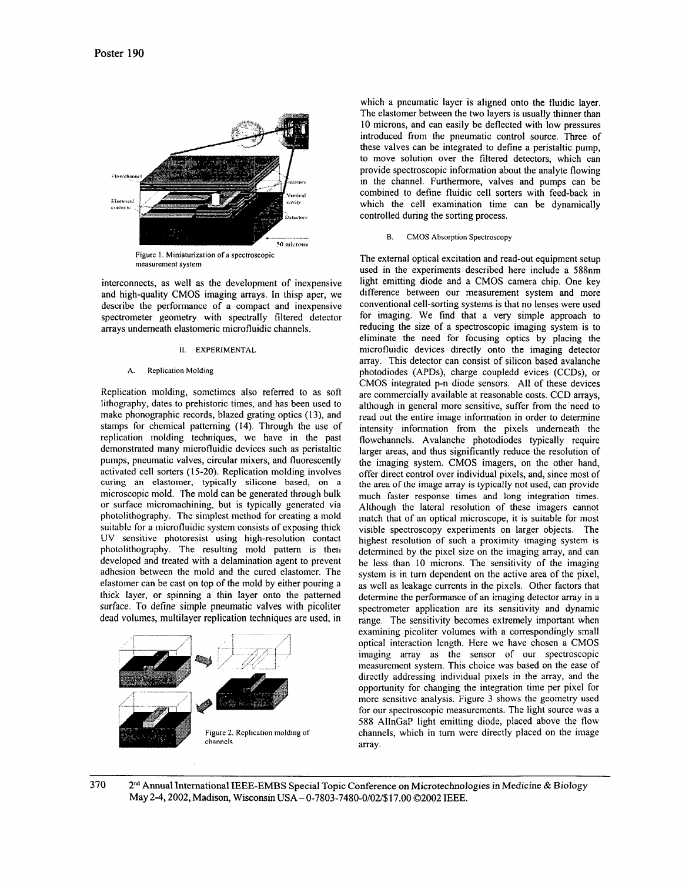

interconnects, as well as the development of inexpensive and high-quality CMOS imaging arrays. In thisp aper, we describe the performance of a compact and inexpensive spectrometer geometry with spectrally filtered detector arrays underneath elastomeric microfluidic channels.

#### **11.** EXPERIMENTAL

#### **A.** Replication Molding

Replication molding, sometimes also referred to as soft lithography, dates to prehistoric times, and has been used to make phonographic records, blazed grating optics **(l3),** and stamps for chemical patterning (14). Through the use of replication molding techniques, we have in the past demonstrated many microfluidic devices such as peristaltic pumps, pneumatic valves, circular mixers, and fluorescently activated cell sorters (1 *5-20).* Replication molding involves curing an elastomer, typically silicone based, on a microscopic mold. The mold can be generated through bulk or surface micromachining, but is typically generated via photolithography. The simplest method for creating a mold suitable for a microfluidic system consists of exposing thick UV sensitive photoresist using high-resolution contact photolithography. The resulting mold pattern is then developcd and treated with a delamination agent to prevent adhcsion between the mold and the cured elastomer. The elastomer can be cast on top of the mold by either pouring a thick layer, or spinning a thin layer onto the patterned surface. To define simple pneumatic valves with picoliter dead volumes, multilayer replication techniques are used, in



which a pneumatic layer is aligned onto the fluidic layer. The elastomer between the two layers is usually thinner than **10** microns, and can easily be deflected with low pressures introduced from the pneumatic control source. Three of these valves can be integrated to define a peristaltic pump, to move solution over the filtered detectors, which can provide spectroscopic information about the analyte flowing in the channel. Furthermore, valves and pumps can be combined to define fluidic cell sorters with feed-back in which the cell examination time can be dynamically controlled during the sorting process.

# B. CMOS Absorption Spectroscopy

The external optical excitation and read-out equipment setup used in the experiments described here include a 588nm light emitting diode and a CMOS camera chip. One key difference between our measurement system and more conventional cell-sorting systems is that no lenses were used for imaging. We find that a very simple approach to reducing the size of a spectroscopic imaging system is to eliminate the need for focusing optics by placing the microfluidic devices directly onto the imaging detector array. This detector can consist of silicon based avalanche photodiodes (APDs), charge coupledd evices (CCDs), or CMOS integrated p-n diode sensors. All of these devices are commercially available at reasonable costs. CCD arrays, although in general more sensitive, suffer from the need to read out the entire image information in order to determine intensity information from the pixels underneath the flowchannels. Avalanche photodiodes typically require larger areas, and thus significantly reduce the resolution of the imaging system. CMOS imagers, on the other hand, offer direct control over individual pixels, and, since most of the area of the image array is typically not used, can provide much faster response times and long integration times. Although the lateral resolution of these imagers cannot match that of an optical microscope, it is suitable for most visible spectroscopy experiments on larger objects. The highest resolution of such a proximity imaging system is detennined by the pixel size on the imaging array, and can be less than 10 microns. The sensitivity of the imaging system is in turn dependent on the active area of the pixel, as well as leakage currents in the pixels. Other factors that determine the performance of an imaging detector array in a spectrometer application are its sensitivity and dynamic range. The sensitivity becomes extremely important when examining picoliter volumes with a correspondingly small optical interaction length. Here we have chosen a CMOS imaging array as the sensor of our spectroscopic measurement system. This choice was based on the ease of directly addressing individual pixels in the array, and the opportunity for changing the integration time per pixel for more sensitive analysis. [Figure](#page-2-0) **3** shows the geometry used for our spectroscopic measurements. The light source was a 588 AlInGaP light emitting diode, placed above the flow channels, which in turn were directly placed on the image array.

**370** 2nd Annual International IEEE-EMBS Special Topic Conference **on** Microtechnologies in Medicine & Biology May 24,2002, Madison, Wisconsin **USA** - 0-7803-7480-0/02/\$17.00 02002 IEEE.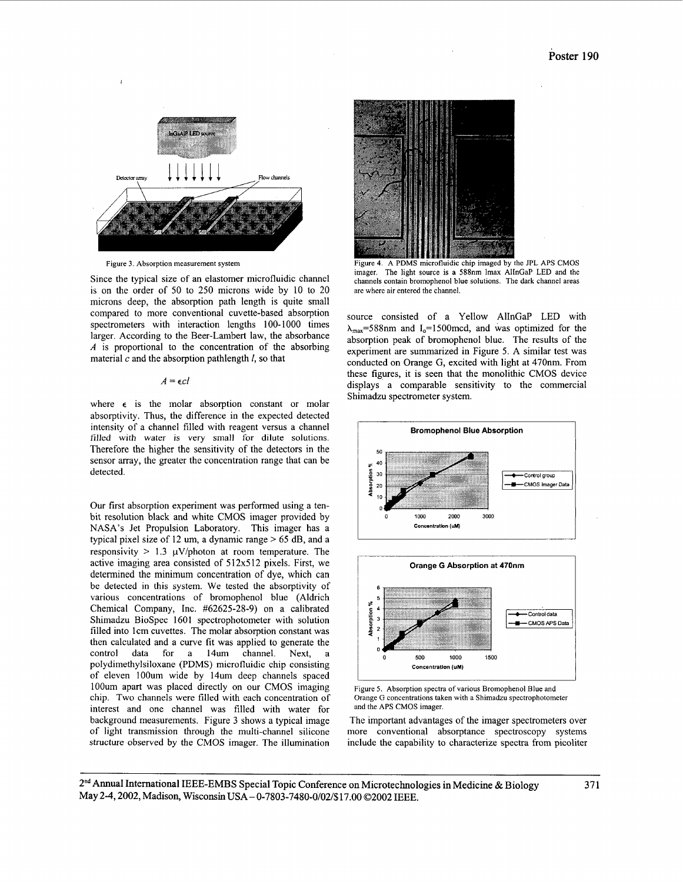<span id="page-2-0"></span>

Figure **3.** Absorption measurement system

Since the typical size of an elastomer microfluidic channel is on the order of 50 to 250 microns wide by 10 to 20 microns deep, the absorption path length is quite small compared to more conventional cuvette-based absorption spectrometers with interaction lengths 100-1000 times larger. According to the Beer-Lambert law, the absorbance *A* is proportional to the concentration of the absorbing material *c* and the absorption pathlength *I,* so that

# $A = \epsilon c l$

where  $\epsilon$  is the molar absorption constant or molar absorptivity. Thus, the difference in the expected detected intensity of a channel filled with reagent versus a channel filled with water is very small for dilute solutions. Therefore the higher the sensitivity of the detectors in the sensor array, the greater the concentration range that can be detected.

Our first absorption experiment was performed using a tenbit resolution black and white CMOS imager provided by NASA's Jet Propulsion Laboratory. This imager has a typical pixel size of 12 um, a dynamic range > 65 dB, and a responsivity  $> 1.3 \mu V$ /photon at room temperature. The active imaging area consisted of 512x512 pixels. First, we determined the minimum concentration of dye, which can be detected in this system. We tested the absorptivity of various concentrations of bromophenol blue (Aldrich Chemical Company, Inc. #62625-28-9) on a calibrated Shimadzu BioSpec 1601 spectrophotometer with solution filled into lcm cuvettes. The molar absorption constant was then calculated and a curve fit was applied to generate the control data for a 14um channel. Next, a  $data$  for a  $14um$  channel. polydimethylsiloxane (PDMS) microfluidic chip consisting of eleven lOOum wide by 14um deep channels spaced lOOum apart was placed directly on our CMOS imaging chip. Two channels were filled with each concentration of interest and one channel was filled with water for background measurements. Figure 3 shows a typical image of light transmission through the multi-channel silicone structure observed by the CMOS imager. The illumination



Figure **4.** A PDMS microfluidic chip imaged by the JPL APS CMOS imager. The light source **is** a 588nm lmax AlInGaP LED and the channels contain bromophenol blue solutions. The dark channel areas are where air entered the channel.

source consisted of a Yellow AlInGaP LED with  $\lambda_{\text{max}}$ =588nm and I<sub>0</sub>=1500mcd, and was optimized for the absorption peak of bromophenol blue. The results of the experiment are summarized in Figure *5.* A similar test was conducted on Orange *G,* excited with light at 470nm. From these figures, it is seen that the monolithic CMOS device displays a comparable sensitivity to the commercial Shimadzu spectrometer system.





Figure 5. Absorption spectra of various Bromophenol Blue and Orange G concentrations taken with a Shimadzu spectrophotometer and the APS CMOS imager.

The important advantages of the imager spectrometers over more conventional absorptance spectroscopy systems include the capability to characterize spectra from picoliter

2"d Annual International IEEE-EMBS Special Topic Conference on Microtechnologies in Medicine & Biology May 2-4, 2002, Madison, Wisconsin USA - 0-7803-7480-0/02/\$17.00 ©2002 IEEE.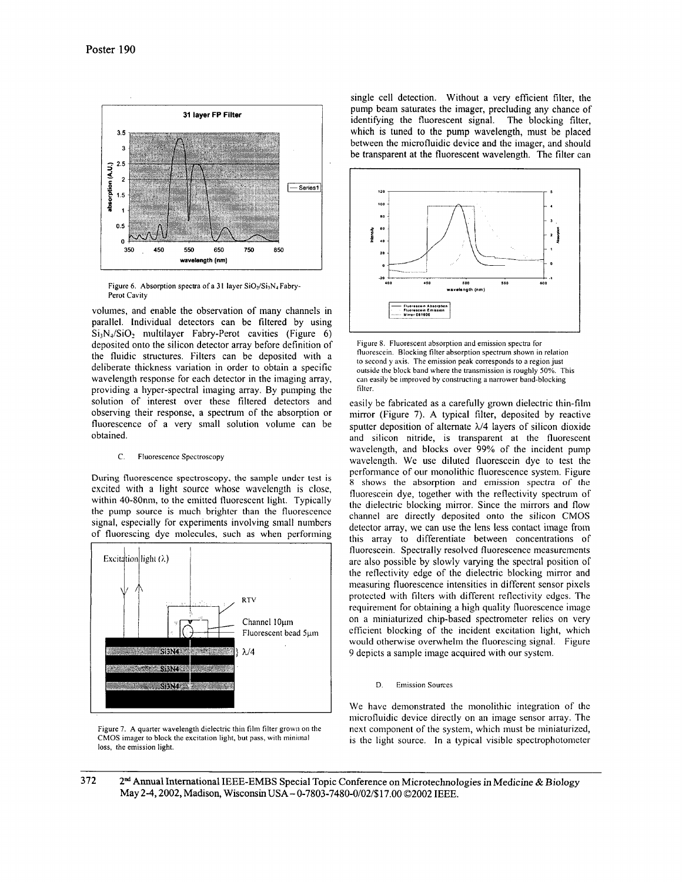

Figure 6. Absorption spectra of a 31 layer SiO<sub>2</sub>/Si<sub>3</sub>N<sub>4</sub> Fabry-Perot Cavity

volumes, and enable the observation of many channels in parallel. Individual detectors can be filtered by using  $Si_3N<sub>4</sub>/SiO<sub>2</sub>$  multilayer Fabry-Perot cavities (Figure 6) deposited onto the silicon detector array before definition of the fluidic structures. Filters can be deposited with a deliberate thickness variation in order to obtain a specific wavelength response for each detector in the imaging array, providing a hyper-spectral imaging array. By pumping the solution of interest over these filtered detectors and observing their response, a spectrum of the absorption or fluorescence of a very small solution volume can be obtained.

# C. Fluorescence Spectroscopy

**During fluorescence spectroscopy, the sample under** test is excited with a light source whose wavelength is close, within 40-80nm, to the emitted fluorescent light. Typically the pump source is much brighter than the fluorescence signal, especially for experiments involving small numbers of fluorescing dye molecules, such as when performing



Figure 7. A quarter wavelength dielectric thin film filter grown on the CMOS imager to block the excitation light, but pass, with miniinal loss, the emission light.

single cell detection. Without a very efficient filter, the pump beam saturates the imager, precluding any chance of identifying the fluorescent signal. The blocking filter, which is tuned to the pump wavelength, must be placed between the microfluidic device and the imager, and should be transparent at the fluorescent wavelength. The filter can



Figure 8. Fluorescent absorption and emission spectra for fluorescein. Blocking filter absorption spectrum shown in relation to second y axis. The emission peak corresponds to a region just outside the block band where the transmission is roughly *50%.* This can easily be improved by constructing a narrower band-blocking filter.

easily be fabricated as a carefully grown dielectric thin-film mirror (Figure **7). A** typical filter, deposited by reactive sputter deposition of alternate *h/4* layers of silicon dioxide and silicon nitride, is transparent at the fluorescent wavelength, and blocks over 99% of the incident pump wavelength. We use diluted fluorescein dye to test the pcrfomiance of our monolithic fluorescence system. Figure 8 shows the absorption and emission spectra of the fluorescein dye, together with the reflectivity spectrum of the dielectric blocking mirror. Since the mirrors and flow channel are directly deposited onto the silicon CMOS detector array, we can use the lens less contact image from this array to differentiate between concentrations of fluorescein. Spectrally resolved fluorescence measurements are also possible by slowly varying the spcctral position of the reflectivity edge of thc dielectric blocking mirror and measuring fluorescence intensities in different sensor pixels protected with filters with different reflectivity edges. Thc requirement for obtaining a high quality fluorescence image on a miniaturized chip-based spectrometer relics on very cfficient blocking of the incident excitation light, which would otherwise overwhelm the fluorescing signal. Figure 9 depicts a sample image acquired with our system.

## D. Emission Sources

We havc demonstrated the monolithic integration of thc microfluidic device directly on an image sensor array. The next component of the system, which must be miniaturized, is the light source. In a typical visible spectrophotometer

# 372  $2<sup>nd</sup>$  Annual International IEEE-EMBS Special Topic Conference on Microtechnologies in Medicine & Biology May 24,2002, Madison, Wisconsin **USA** - 0-7803-7480-0/02/\$17.00 02002 IEEE.